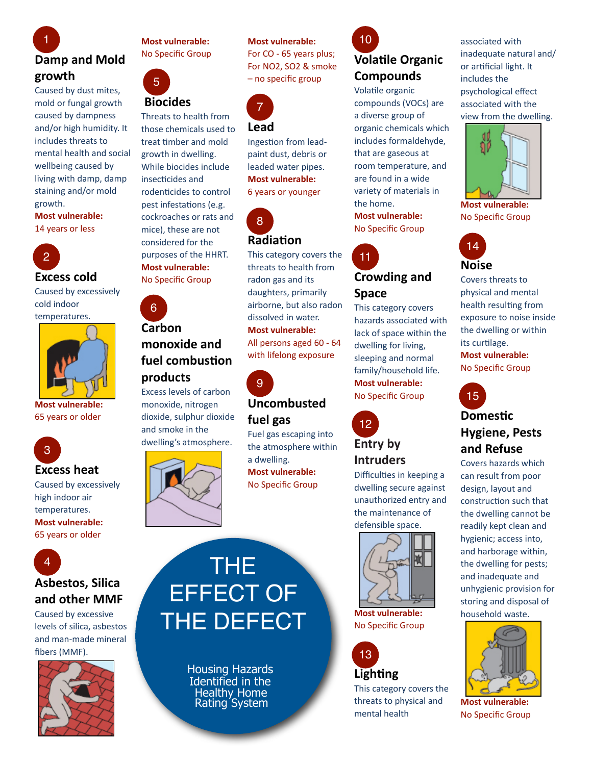### **Damp and Mold growth** 1

Caused by dust mites, mold or fungal growth caused by dampness and/or high humidity. It includes threats to mental health and social wellbeing caused by living with damp, damp staining and/or mold growth.

**Most vulnerable:** 14 years or less



Caused by excessively cold'indoor' temperatures.



**Most vulnerable:** 65 years or older



#### **Excess heat**

Caused by excessively high indoor air temperatures. **Most vulnerable:** 65 years or older



#### **Asbestos,%Silica%** and other **MMF**

Caused by excessive levels of silica, asbestos and man-made mineral fibers (MMF).



**Most vulnerable:** No Specific Group



# **Biocides**

Threats to health from those chemicals used to treat timber and mold growth in dwelling. While biocides include insecticides and rodenticides to control pest infestations (e.g. cockroaches or rats and mice), these are not considered for the purposes of the HHRT. **Most vulnerable:** No Specific Group

#### **Carbon%** monoxide and fuel combustion **products** 6

Excess levels of carbon monoxide, nitrogen dioxide, sulphur dioxide and smoke in the dwelling's atmosphere.



#### **Most vulnerable:**

For CO - 65 years plus; For NO2, SO2 & smoke – no specific group



Ingestion from leadpaint dust, debris or leaded water pipes. **Most vulnerable:** 6 years or younger



# **Radia?on**

This category covers the threats to health from radon gas and its daughters, primarily airborne, but also radon dissolved in water. **Most vulnerable:** All persons aged 60 - 64 with lifelong exposure



# **Uncombusted%**

#### **fuel%gas** Fuel gas escaping into the atmosphere within a dwelling. **Most vulnerable:** No Specific Group

# **Volatile Organic** 10

# **Compounds**

Volatile organic compounds (VOCs) are a diverse group of organic chemicals which includes formaldehyde, that are gaseous at room temperature, and are found in a wide variety of materials in the home.

**Most vulnerable:** No Specific Group



### **Crowding and Space**

This category covers hazards associated with lack of space within the dwelling for living, sleeping and normal family/household life. **Most vulnerable:** No Specific Group



Difficulties in keeping a dwelling secure against unauthorized entry and the maintenance of defensible space.



**Most vulnerable:** No Specific Group



# This category covers the

threats to physical and mental health

associated with inadequate natural and/ or artificial light. It includes the psychological effect associated with the view from the dwelling.



**Most vulnerable:** No Specific Group



Covers threats to physical and mental health resulting from exposure to noise inside the dwelling or within its curtilage.

**Most vulnerable:** No Specific Group



### **Hygiene, Pests and%Refuse**

Covers hazards which can result from poor design, layout and construction such that the dwelling cannot be readily kept clean and hygienic; access into, and harborage within, the dwelling for pests; and inadequate and unhygienic provision for storing and disposal of household waste.



**Most vulnerable:** No Specific Group



 Housing Hazards Identified in the Healthy Home Rating System